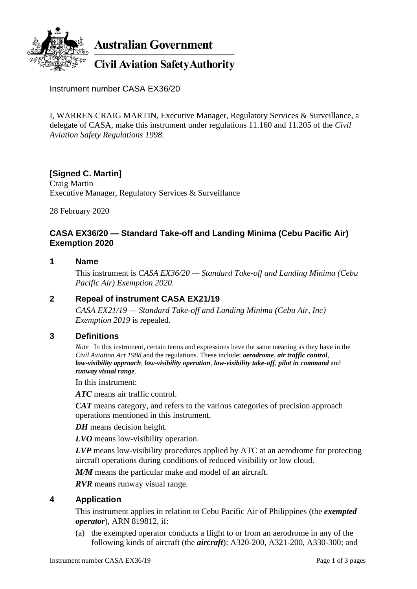

**Australian Government** 

**Civil Aviation Safety Authority** 

Instrument number CASA EX36/20

I, WARREN CRAIG MARTIN, Executive Manager, Regulatory Services & Surveillance, a delegate of CASA, make this instrument under regulations 11.160 and 11.205 of the *Civil Aviation Safety Regulations 1998*.

# **[Signed C. Martin]**

Craig Martin Executive Manager, Regulatory Services & Surveillance

28 February 2020

# **CASA EX36/20 — Standard Take-off and Landing Minima (Cebu Pacific Air) Exemption 2020**

#### **1 Name**

This instrument is *CASA EX36/20 — Standard Take-off and Landing Minima (Cebu Pacific Air) Exemption 2020*.

### **2 Repeal of instrument CASA EX21/19**

*CASA EX21/19 — Standard Take-off and Landing Minima (Cebu Air, Inc) Exemption 2019* is repealed.

### **3 Definitions**

*Note* In this instrument, certain terms and expressions have the same meaning as they have in the *Civil Aviation Act 1988* and the regulations. These include: *aerodrome*, *air traffic control*, *low-visibility approach*, *low-visibility operation*, *low-visibility take-off*, *pilot in command* and *runway visual range*.

In this instrument:

*ATC* means air traffic control.

*CAT* means category, and refers to the various categories of precision approach operations mentioned in this instrument.

*DH* means decision height.

*LVO* means low-visibility operation.

*LVP* means low-visibility procedures applied by ATC at an aerodrome for protecting aircraft operations during conditions of reduced visibility or low cloud.

*M/M* means the particular make and model of an aircraft.

*RVR* means runway visual range.

### **4 Application**

This instrument applies in relation to Cebu Pacific Air of Philippines (the *exempted operator*), ARN 819812, if:

(a) the exempted operator conducts a flight to or from an aerodrome in any of the following kinds of aircraft (the *aircraft*): A320-200, A321-200, A330-300; and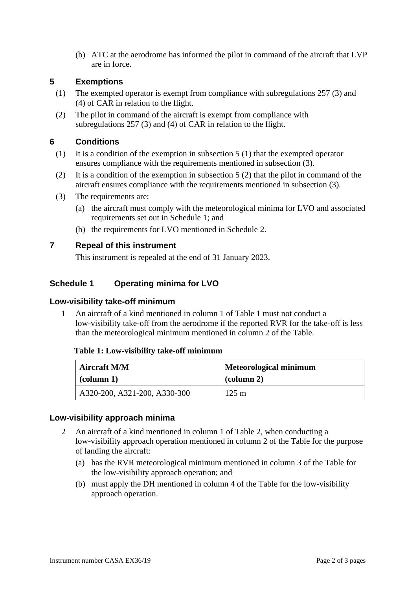(b) ATC at the aerodrome has informed the pilot in command of the aircraft that LVP are in force.

### **5 Exemptions**

- (1) The exempted operator is exempt from compliance with subregulations 257 (3) and (4) of CAR in relation to the flight.
- (2) The pilot in command of the aircraft is exempt from compliance with subregulations 257 (3) and (4) of CAR in relation to the flight.

## **6 Conditions**

- (1) It is a condition of the exemption in subsection 5 (1) that the exempted operator ensures compliance with the requirements mentioned in subsection (3).
- (2) It is a condition of the exemption in subsection 5 (2) that the pilot in command of the aircraft ensures compliance with the requirements mentioned in subsection (3).
- (3) The requirements are:
	- (a) the aircraft must comply with the meteorological minima for LVO and associated requirements set out in Schedule 1; and
	- (b) the requirements for LVO mentioned in Schedule 2.

### **7 Repeal of this instrument**

This instrument is repealed at the end of 31 January 2023.

# **Schedule 1 Operating minima for LVO**

#### **Low-visibility take-off minimum**

1 An aircraft of a kind mentioned in column 1 of Table 1 must not conduct a low-visibility take-off from the aerodrome if the reported RVR for the take-off is less than the meteorological minimum mentioned in column 2 of the Table.

#### **Table 1: Low-visibility take-off minimum**

| <b>Aircraft M/M</b>          | <b>Meteorological minimum</b> |
|------------------------------|-------------------------------|
| $\vert$ (column 1)           | $\alpha$ (column 2)           |
| A320-200, A321-200, A330-300 | $125 \text{ m}$               |

#### **Low-visibility approach minima**

- 2 An aircraft of a kind mentioned in column 1 of Table 2, when conducting a low-visibility approach operation mentioned in column 2 of the Table for the purpose of landing the aircraft:
	- (a) has the RVR meteorological minimum mentioned in column 3 of the Table for the low-visibility approach operation; and
	- (b) must apply the DH mentioned in column 4 of the Table for the low-visibility approach operation.